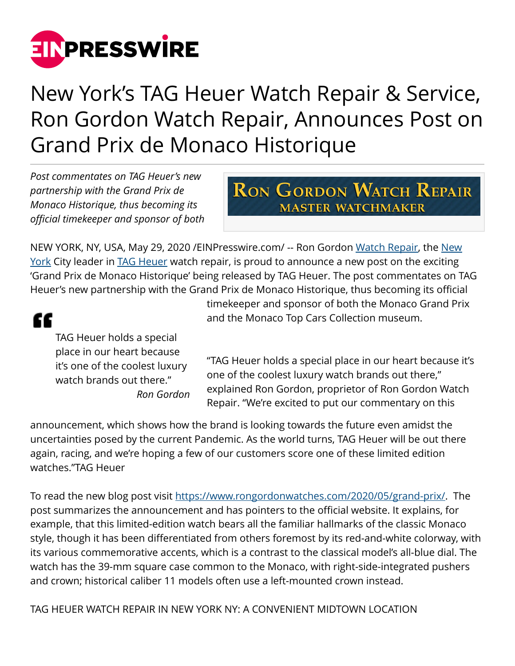

## New York's TAG Heuer Watch Repair & Service, Ron Gordon Watch Repair, Announces Post on Grand Prix de Monaco Historique

*Post commentates on TAG Heuer's new partnership with the Grand Prix de Monaco Historique, thus becoming its official timekeeper and sponsor of both*

## **RON GORDON WATCH REPAIR MASTER WATCHMAKER**

NEW YORK, NY, USA, May 29, 2020 / EIN Presswire.com/ -- Ron Gordon [Watch Repair](https://www.rongordonwatches.com/watch-repair/), the [New](https://www1.nyc.gov/) [York](https://www1.nyc.gov/) City leader in [TAG Heuer](https://www.rongordonwatches.com/tag-heuer/) watch repair, is proud to announce a new post on the exciting 'Grand Prix de Monaco Historique' being released by TAG Heuer. The post commentates on TAG Heuer's new partnership with the Grand Prix de Monaco Historique, thus becoming its official

## "

TAG Heuer holds a special place in our heart because it's one of the coolest luxury watch brands out there." *Ron Gordon* timekeeper and sponsor of both the Monaco Grand Prix and the Monaco Top Cars Collection museum.

"TAG Heuer holds a special place in our heart because it's one of the coolest luxury watch brands out there," explained Ron Gordon, proprietor of Ron Gordon Watch Repair. "We're excited to put our commentary on this

announcement, which shows how the brand is looking towards the future even amidst the uncertainties posed by the current Pandemic. As the world turns, TAG Heuer will be out there again, racing, and we're hoping a few of our customers score one of these limited edition watches."TAG Heuer

To read the new blog post visit<https://www.rongordonwatches.com/2020/05/grand-prix/>. The post summarizes the announcement and has pointers to the official website. It explains, for example, that this limited-edition watch bears all the familiar hallmarks of the classic Monaco style, though it has been differentiated from others foremost by its red-and-white colorway, with its various commemorative accents, which is a contrast to the classical model's all-blue dial. The watch has the 39-mm square case common to the Monaco, with right-side-integrated pushers and crown; historical caliber 11 models often use a left-mounted crown instead.

TAG HEUER WATCH REPAIR IN NEW YORK NY: A CONVENIENT MIDTOWN LOCATION